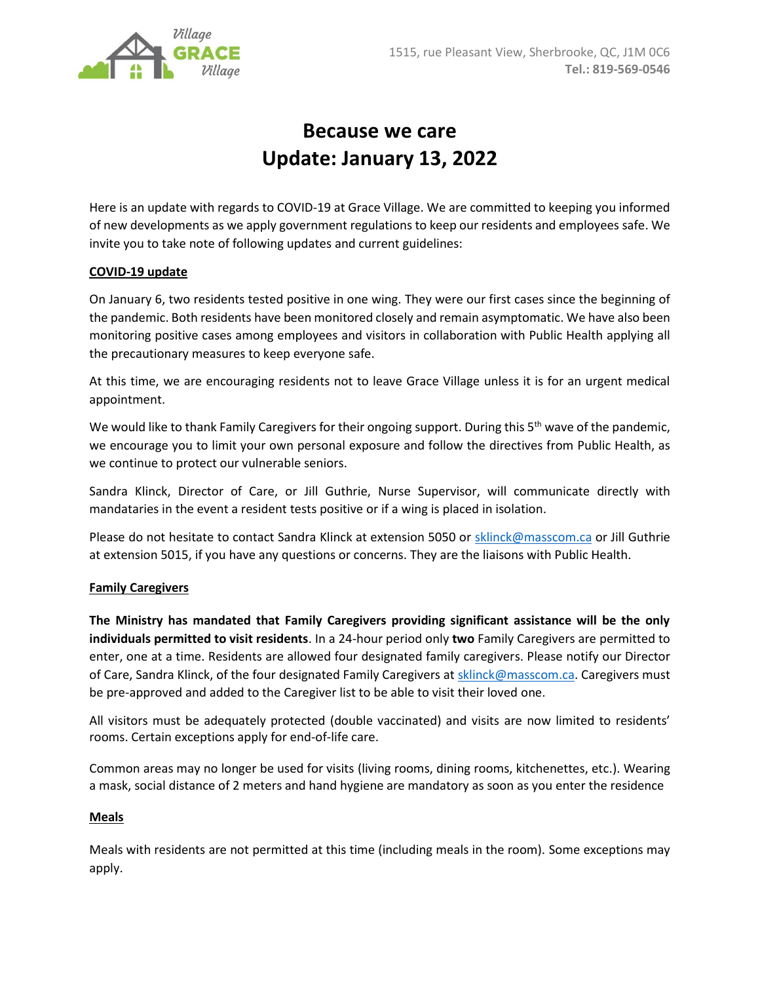

# **Because we care Update: January 13, 2022**

Here is an update with regards to COVID-19 at Grace Village. We are committed to keeping you informed of new developments as we apply government regulations to keep our residents and employees safe. We invite you to take note of following updates and current guidelines:

## **COVID-19 update**

On January 6, two residents tested positive in one wing. They were our first cases since the beginning of the pandemic. Both residents have been monitored closely and remain asymptomatic. We have also been monitoring positive cases among employees and visitors in collaboration with Public Health applying all the precautionary measures to keep everyone safe.

At this time, we are encouraging residents not to leave Grace Village unless it is for an urgent medical appointment.

We would like to thank Family Caregivers for their ongoing support. During this  $5<sup>th</sup>$  wave of the pandemic, we encourage you to limit your own personal exposure and follow the directives from Public Health, as we continue to protect our vulnerable seniors.

Sandra Klinck, Director of Care, or Jill Guthrie, Nurse Supervisor, will communicate directly with mandataries in the event a resident tests positive or if a wing is placed in isolation.

Please do not hesitate to contact Sandra Klinck at extension 5050 or [sklinck@masscom.ca](mailto:sklinck@masscom.ca) or Jill Guthrie at extension 5015, if you have any questions or concerns. They are the liaisons with Public Health.

### **Family Caregivers**

**The Ministry has mandated that Family Caregivers providing significant assistance will be the only individuals permitted to visit residents**. In a 24-hour period only **two** Family Caregivers are permitted to enter, one at a time. Residents are allowed four designated family caregivers. Please notify our Director of Care, Sandra Klinck, of the four designated Family Caregivers a[t sklinck@masscom.ca.](mailto:sklinck@masscom.ca) Caregivers must be pre-approved and added to the Caregiver list to be able to visit their loved one.

All visitors must be adequately protected (double vaccinated) and visits are now limited to residents' rooms. Certain exceptions apply for end-of-life care.

Common areas may no longer be used for visits (living rooms, dining rooms, kitchenettes, etc.). Wearing a mask, social distance of 2 meters and hand hygiene are mandatory as soon as you enter the residence

### **Meals**

Meals with residents are not permitted at this time (including meals in the room). Some exceptions may apply.